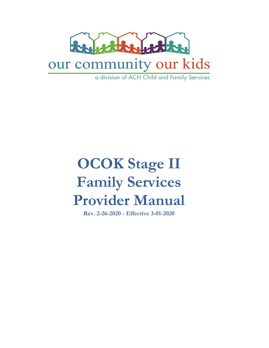

a division of ACH Child and Family Services

# **OCOK Stage II Family Services Provider Manual**

**Rev. 2-26-2020 - Effective 3-01-2020**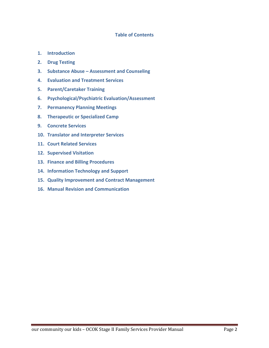# **Table of Contents**

- **1. Introduction**
- **2. Drug Testing**
- **3. Substance Abuse – Assessment and Counseling**
- **4. Evaluation and Treatment Services**
- **5. Parent/Caretaker Training**
- **6. Psychological/Psychiatric Evaluation/Assessment**
- **7. Permanency Planning Meetings**
- **8. Therapeutic or Specialized Camp**
- **9. Concrete Services**
- **10. Translator and Interpreter Services**
- **11. Court Related Services**
- **12. Supervised Visitation**
- **13. Finance and Billing Procedures**
- **14. Information Technology and Support**
- **15. Quality Improvement and Contract Management**
- **16. Manual Revision and Communication**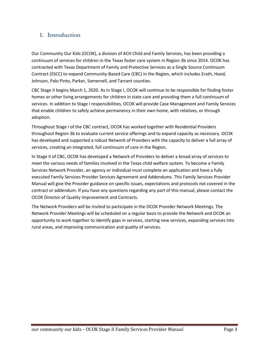# **1. Introduction**

Our Community Our Kids (OCOK), a division of ACH Child and Family Services, has been providing a continuum of services for children in the Texas foster care system in Region 3b since 2014. OCOK has contracted with Texas Department of Family and Protective Services as a Single Source Continuum Contract (SSCC) to expand Community-Based Care (CBC) in the Region, which includes Erath, Hood, Johnson, Palo Pinto, Parker, Somervell, and Tarrant counties.

CBC Stage II begins March 1, 2020. As in Stage I, OCOK will continue to be responsible for finding foster homes or other living arrangements for children in state care and providing them a full continuum of services. In addition to Stage I responsibilities, OCOK will provide Case Management and Family Services that enable children to safely achieve permanency in their own home, with relatives, or through adoption.

Throughout Stage I of the CBC contract, OCOK has worked together with Residential Providers throughout Region 3b to evaluate current service offerings and to expand capacity as necessary. OCOK has developed and supported a robust Network of Providers with the capacity to deliver a full array of services, creating an integrated, full continuum of care in the Region.

In Stage II of CBC, OCOK has developed a Network of Providers to deliver a broad array of services to meet the various needs of families involved in the Texas child welfare system. To become a Family Services Network Provider, an agency or individual must complete an application and have a fully executed Family Services Provider Services Agreement and Addendums. This Family Services Provider Manual will give the Provider guidance on specific issues, expectations and protocols not covered in the contract or addendum. If you have any questions regarding any part of this manual, please contact the OCOK Director of Quality Improvement and Contracts.

The Network Providers will be invited to participate in the OCOK Provider Network Meetings. The Network Provider Meetings will be scheduled on a regular basis to provide the Network and OCOK an opportunity to work together to identify gaps in services, starting new services, expanding services into rural areas, and improving communication and quality of services.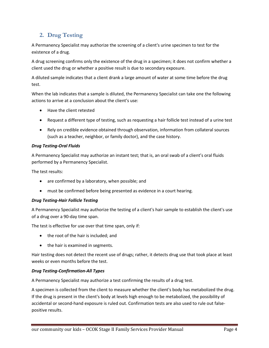# **2. Drug Testing**

A Permanency Specialist may authorize the screening of a client's urine specimen to test for the existence of a drug.

A drug screening confirms only the existence of the drug in a specimen; it does not confirm whether a client used the drug or whether a positive result is due to secondary exposure.

A diluted sample indicates that a client drank a large amount of water at some time before the drug test.

When the lab indicates that a sample is diluted, the Permanency Specialist can take one the following actions to arrive at a conclusion about the client's use:

- Have the client retested
- Request a different type of testing, such as requesting a hair follicle test instead of a urine test
- Rely on credible evidence obtained through observation, information from collateral sources (such as a teacher, neighbor, or family doctor), and the case history.

# *Drug Testing-Oral Fluids*

A Permanency Specialist may authorize an instant test; that is, an oral swab of a client's oral fluids performed by a Permanency Specialist.

The test results:

- are confirmed by a laboratory, when possible; and
- must be confirmed before being presented as evidence in a court hearing.

## *Drug Testing-Hair Follicle Testing*

A Permanency Specialist may authorize the testing of a client's hair sample to establish the client's use of a drug over a 90-day time span.

The test is effective for use over that time span, only if:

- the root of the hair is included; and
- the hair is examined in segments.

Hair testing does not detect the recent use of drugs; rather, it detects drug use that took place at least weeks or even months before the test.

## *Drug Testing-Confirmation-All Types*

A Permanency Specialist may authorize a test confirming the results of a drug test.

A specimen is collected from the client to measure whether the client's body has metabolized the drug. If the drug is present in the client's body at levels high enough to be metabolized, the possibility of accidental or second-hand exposure is ruled out. Confirmation tests are also used to rule out falsepositive results.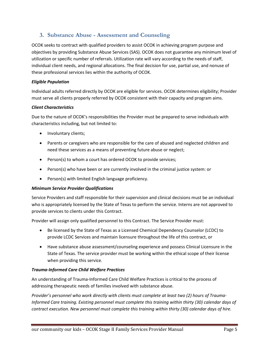# **3. Substance Abuse - Assessment and Counseling**

OCOK seeks to contract with qualified providers to assist OCOK in achieving program purpose and objectives by providing Substance Abuse Services (SAS). OCOK does not guarantee any minimum level of utilization or specific number of referrals. Utilization rate will vary according to the needs of staff, individual client needs, and regional allocations. The final decision for use, partial use, and nonuse of these professional services lies within the authority of OCOK.

# *Eligible Population*

Individual adults referred directly by OCOK are eligible for services. OCOK determines eligibility; Provider must serve all clients properly referred by OCOK consistent with their capacity and program aims.

# *Client Characteristics*

Due to the nature of OCOK's responsibilities the Provider must be prepared to serve individuals with characteristics including, but not limited to:

- Involuntary clients;
- Parents or caregivers who are responsible for the care of abused and neglected children and need these services as a means of preventing future abuse or neglect;
- Person(s) to whom a court has ordered OCOK to provide services;
- Person(s) who have been or are currently involved in the criminal justice system: or
- Person(s) with limited English language proficiency.

# *Minimum Service Provider Qualifications*

Service Providers and staff responsible for their supervision and clinical decisions must be an individual who is appropriately licensed by the State of Texas to perform the service. Interns are not approved to provide services to clients under this Contract.

Provider will assign only qualified personnel to this Contract. The Service Provider must:

- Be licensed by the State of Texas as a Licensed Chemical Dependency Counselor (LCDC) to provide LCDC Services and maintain licensure throughout the life of this contract, or
- Have substance abuse assessment/counseling experience and possess Clinical Licensure in the State of Texas. The service provider must be working within the ethical scope of their license when providing this service.

# *Trauma-Informed Care Child Welfare Practices*

An understanding of Trauma-Informed Care Child Welfare Practices is critical to the process of addressing therapeutic needs of families involved with substance abuse.

*Provider's personnel who work directly with clients must complete at least two (2) hours of Trauma-Informed Care training. Existing personnel must complete this training within thirty (30) calendar days of contract execution. New personnel must complete this training within thirty (30) calendar days of hire.*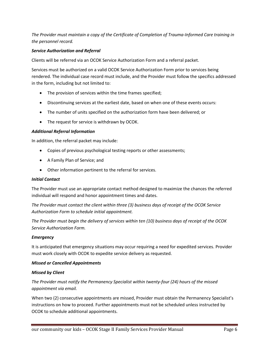*The Provider must maintain a copy of the Certificate of Completion of Trauma-Informed Care training in the personnel record.*

# *Service Authorization and Referral*

Clients will be referred via an OCOK Service Authorization Form and a referral packet.

Services must be authorized on a valid OCOK Service Authorization Form prior to services being rendered. The individual case record must include, and the Provider must follow the specifics addressed in the form, including but not limited to:

- The provision of services within the time frames specified;
- Discontinuing services at the earliest date, based on when one of these events occurs:
- The number of units specified on the authorization form have been delivered; or
- The request for service is withdrawn by OCOK.

## *Additional Referral Information*

In addition, the referral packet may include:

- Copies of previous psychological testing reports or other assessments;
- A Family Plan of Service; and
- Other information pertinent to the referral for services.

#### *Initial Contact*

The Provider must use an appropriate contact method designed to maximize the chances the referred individual will respond and honor appointment times and dates.

*The Provider must contact the client within three (3) business days of receipt of the OCOK Service Authorization Form to schedule initial appointment.*

*The Provider must begin the delivery of services within ten (10) business days of receipt of the OCOK Service Authorization Form.*

## *Emergency*

It is anticipated that emergency situations may occur requiring a need for expedited services. Provider must work closely with OCOK to expedite service delivery as requested.

## *Missed or Cancelled Appointments*

## *Missed by Client*

*The Provider must notify the Permanency Specialist within twenty-four (24) hours of the missed appointment via email.*

When two (2) consecutive appointments are missed, Provider must obtain the Permanency Specialist's instructions on how to proceed. Further appointments must not be scheduled unless instructed by OCOK to schedule additional appointments.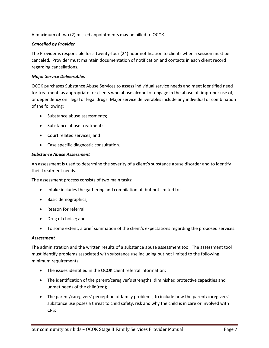A maximum of two (2) missed appointments may be billed to OCOK.

# *Cancelled by Provider*

The Provider is responsible for a twenty-four (24) hour notification to clients when a session must be canceled. Provider must maintain documentation of notification and contacts in each client record regarding cancellations.

# *Major Service Deliverables*

OCOK purchases Substance Abuse Services to assess individual service needs and meet identified need for treatment, as appropriate for clients who abuse alcohol or engage in the abuse of, improper use of, or dependency on illegal or legal drugs. Major service deliverables include any individual or combination of the following:

- Substance abuse assessments;
- Substance abuse treatment;
- Court related services; and
- Case specific diagnostic consultation.

## *Substance Abuse Assessment*

An assessment is used to determine the severity of a client's substance abuse disorder and to identify their treatment needs.

The assessment process consists of two main tasks:

- Intake includes the gathering and compilation of, but not limited to:
- Basic demographics;
- Reason for referral;
- Drug of choice; and
- To some extent, a brief summation of the client's expectations regarding the proposed services.

## *Assessment*

The administration and the written results of a substance abuse assessment tool. The assessment tool must identify problems associated with substance use including but not limited to the following minimum requirements:

- The issues identified in the OCOK client referral information;
- The identification of the parent/caregiver's strengths, diminished protective capacities and unmet needs of the child(ren);
- The parent/caregivers' perception of family problems, to include how the parent/caregivers' substance use poses a threat to child safety, risk and why the child is in care or involved with CPS;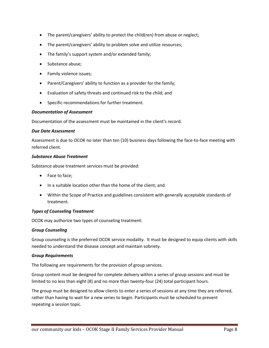- The parent/caregivers' ability to protect the child(ren) from abuse or neglect;
- The parent/caregivers' ability to problem solve and utilize resources;
- The family's support system and/or extended family;
- Substance abuse;
- Family violence issues;
- Parent/Caregivers' ability to function as a provider for the family;
- Evaluation of safety threats and continued risk to the child; and
- Specific recommendations for further treatment.

# *Documentation of Assessment*

Documentation of the assessment must be maintained in the client's record.

## *Due Date Assessment*

Assessment is due to OCOK no later than ten (10) business days following the face-to-face meeting with referred client.

# *Substance Abuse Treatment*

Substance abuse treatment services must be provided:

- Face to face;
- In a suitable location other than the home of the client; and
- Within the Scope of Practice and guidelines consistent with generally acceptable standards of treatment.

# *Types of Counseling Treatment*

OCOK may authorize two types of counseling treatment:

# *Group Counseling*

Group counseling is the preferred OCOK service modality. It must be designed to equip clients with skills needed to understand the disease concept and maintain sobriety.

# *Group Requirements*

The following are requirements for the provision of group services.

Group content must be designed for complete delivery within a series of group sessions and must be limited to no less than eight (8) and no more than twenty-four (24) total participant hours.

The group must be designed to allow clients to enter a series of sessions at any time they are referred, rather than having to wait for a new series to begin. Participants must be scheduled to prevent repeating a session topic.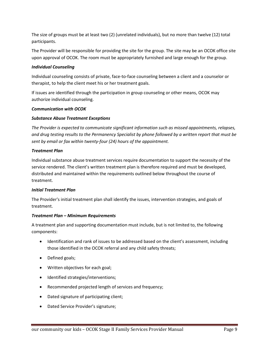The size of groups must be at least two (2) (unrelated individuals), but no more than twelve (12) total participants.

The Provider will be responsible for providing the site for the group. The site may be an OCOK office site upon approval of OCOK. The room must be appropriately furnished and large enough for the group.

# *Individual Counseling*

Individual counseling consists of private, face-to-face counseling between a client and a counselor or therapist, to help the client meet his or her treatment goals.

If issues are identified through the participation in group counseling or other means, OCOK may authorize individual counseling.

# *Communication with OCOK*

# *Substance Abuse Treatment Exceptions*

*The Provider is expected to communicate significant information such as missed appointments, relapses, and drug testing results to the Permanency Specialist by phone followed by a written report that must be sent by email or fax within twenty-four (24) hours of the appointment.*

# *Treatment Plan*

Individual substance abuse treatment services require documentation to support the necessity of the service rendered. The client's written treatment plan is therefore required and must be developed, distributed and maintained within the requirements outlined below throughout the course of treatment.

## *Initial Treatment Plan*

The Provider's initial treatment plan shall identify the issues, intervention strategies, and goals of treatment.

# *Treatment Plan – Minimum Requirements*

A treatment plan and supporting documentation must include, but is not limited to, the following components:

- Identification and rank of issues to be addressed based on the client's assessment, including those identified in the OCOK referral and any child safety threats;
- Defined goals;
- Written objectives for each goal;
- Identified strategies/interventions;
- Recommended projected length of services and frequency;
- Dated signature of participating client;
- Dated Service Provider's signature;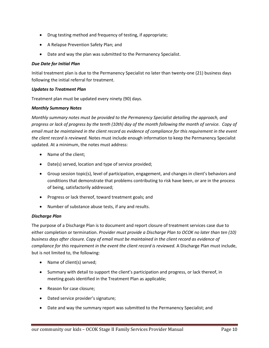- Drug testing method and frequency of testing, if appropriate;
- A Relapse Prevention Safety Plan; and
- Date and way the plan was submitted to the Permanency Specialist.

# *Due Date for Initial Plan*

Initial treatment plan is due to the Permanency Specialist no later than twenty-one (21) business days following the initial referral for treatment.

# *Updates to Treatment Plan*

Treatment plan must be updated every ninety (90) days.

# *Monthly Summary Notes*

*Monthly summary notes must be provided to the Permanency Specialist detailing the approach, and progress or lack of progress by the tenth (10th) day of the month following the month of service. Copy of email must be maintained in the client record as evidence of compliance for this requirement in the event the client record is reviewed.* Notes must include enough information to keep the Permanency Specialist updated. At a minimum, the notes must address:

- Name of the client;
- Date(s) served, location and type of service provided;
- Group session topic(s), level of participation, engagement, and changes in client's behaviors and conditions that demonstrate that problems contributing to risk have been, or are in the process of being, satisfactorily addressed;
- Progress or lack thereof, toward treatment goals; and
- Number of substance abuse tests, if any and results.

# *Discharge Plan*

The purpose of a Discharge Plan is to document and report closure of treatment services case due to either completion or termination. *Provider must provide a Discharge Plan to OCOK no later than ten (10) business days after closure. Copy of email must be maintained in the client record as evidence of compliance for this requirement in the event the client record is reviewed.* A Discharge Plan must include, but is not limited to, the following:

- Name of client(s) served;
- Summary with detail to support the client's participation and progress, or lack thereof, in meeting goals identified in the Treatment Plan as applicable;
- Reason for case closure;
- Dated service provider's signature;
- Date and way the summary report was submitted to the Permanency Specialist; and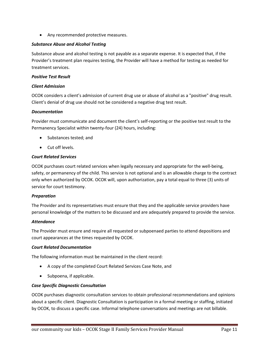• Any recommended protective measures.

# *Substance Abuse and Alcohol Testing*

Substance abuse and alcohol testing is not payable as a separate expense. It is expected that, if the Provider's treatment plan requires testing, the Provider will have a method for testing as needed for treatment services.

# *Positive Test Result*

# *Client Admission*

OCOK considers a client's admission of current drug use or abuse of alcohol as a "positive" drug result. Client's denial of drug use should not be considered a negative drug test result.

# *Documentation*

Provider must communicate and document the client's self-reporting or the positive test result to the Permanency Specialist within twenty-four (24) hours, including:

- Substances tested; and
- Cut off levels.

# *Court Related Services*

OCOK purchases court related services when legally necessary and appropriate for the well-being, safety, or permanency of the child. This service is not optional and is an allowable charge to the contract only when authorized by OCOK. OCOK will, upon authorization, pay a total equal to three (3) units of service for court testimony.

## *Preparation*

The Provider and its representatives must ensure that they and the applicable service providers have personal knowledge of the matters to be discussed and are adequately prepared to provide the service.

# *Attendance*

The Provider must ensure and require all requested or subpoenaed parties to attend depositions and court appearances at the times requested by OCOK.

## *Court Related Documentation*

The following information must be maintained in the client record:

- A copy of the completed Court Related Services Case Note, and
- Subpoena, if applicable.

## *Case Specific Diagnostic Consultation*

OCOK purchases diagnostic consultation services to obtain professional recommendations and opinions about a specific client. Diagnostic Consultation is participation in a formal meeting or staffing, initiated by OCOK, to discuss a specific case. Informal telephone conversations and meetings are not billable.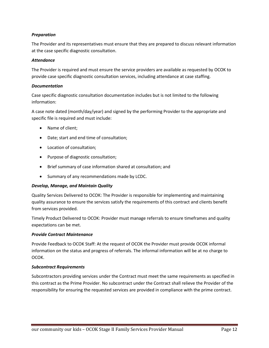# *Preparation*

The Provider and its representatives must ensure that they are prepared to discuss relevant information at the case specific diagnostic consultation.

## *Attendance*

The Provider is required and must ensure the service providers are available as requested by OCOK to provide case specific diagnostic consultation services, including attendance at case staffing.

# *Documentation*

Case specific diagnostic consultation documentation includes but is not limited to the following information:

A case note dated (month/day/year) and signed by the performing Provider to the appropriate and specific file is required and must include:

- Name of client;
- Date; start and end time of consultation;
- Location of consultation;
- Purpose of diagnostic consultation;
- Brief summary of case information shared at consultation; and
- Summary of any recommendations made by LCDC.

# *Develop, Manage, and Maintain Quality*

Quality Services Delivered to OCOK: The Provider is responsible for implementing and maintaining quality assurance to ensure the services satisfy the requirements of this contract and clients benefit from services provided.

Timely Product Delivered to OCOK: Provider must manage referrals to ensure timeframes and quality expectations can be met.

## *Provide Contract Maintenance*

Provide Feedback to OCOK Staff: At the request of OCOK the Provider must provide OCOK informal information on the status and progress of referrals. The informal information will be at no charge to OCOK.

## *Subcontract Requirements*

Subcontractors providing services under the Contract must meet the same requirements as specified in this contract as the Prime Provider. No subcontract under the Contract shall relieve the Provider of the responsibility for ensuring the requested services are provided in compliance with the prime contract.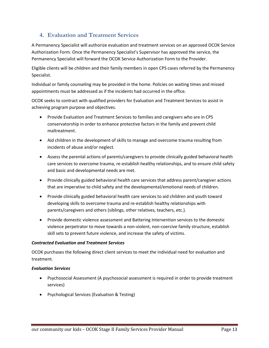# **4. Evaluation and Treatment Services**

A Permanency Specialist will authorize evaluation and treatment services on an approved OCOK Service Authorization Form. Once the Permanency Specialist's Supervisor has approved the service, the Permanency Specialist will forward the OCOK Service Authorization Form to the Provider.

Eligible clients will be children and their family members in open CPS cases referred by the Permanency Specialist.

Individual or family counseling may be provided in the home. Policies on waiting times and missed appointments must be addressed as if the incidents had occurred in the office.

OCOK seeks to contract with qualified providers for Evaluation and Treatment Services to assist in achieving program purpose and objectives.

- Provide Evaluation and Treatment Services to families and caregivers who are in CPS conservatorship in order to enhance protective factors in the family and prevent child maltreatment.
- Aid children in the development of skills to manage and overcome trauma resulting from incidents of abuse and/or neglect.
- Assess the parental actions of parents/caregivers to provide clinically guided behavioral health care services to overcome trauma, re-establish healthy relationships, and to ensure child safety and basic and developmental needs are met.
- Provide clinically guided behavioral health care services that address parent/caregiver actions that are imperative to child safety and the developmental/emotional needs of children.
- Provide clinically guided behavioral health care services to aid children and youth toward developing skills to overcome trauma and re-establish healthy relationships with parents/caregivers and others (siblings, other relatives, teachers, etc.).
- Provide domestic violence assessment and Battering Intervention services to the domestic violence perpetrator to move towards a non-violent, non-coercive family structure, establish skill sets to prevent future violence, and increase the safety of victims.

# *Contracted Evaluation and Treatment Services*

OCOK purchases the following direct client services to meet the individual need for evaluation and treatment.

## *Evaluation Services*

- Psychosocial Assessment (A psychosocial assessment is required in order to provide treatment services)
- Psychological Services (Evaluation & Testing)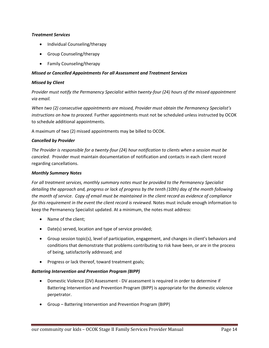# *Treatment Services*

- Individual Counseling/therapy
- Group Counseling/therapy
- Family Counseling/therapy

## *Missed or Cancelled Appointments For all Assessment and Treatment Services*

#### *Missed by Client*

*Provider must notify the Permanency Specialist within twenty-four (24) hours of the missed appointment via email.*

*When two (2) consecutive appointments are missed, Provider must obtain the Permanency Specialist's instructions on how to proceed*. Further appointments must not be scheduled unless instructed by OCOK to schedule additional appointments.

A maximum of two (2) missed appointments may be billed to OCOK.

## *Cancelled by Provider*

*The Provider is responsible for a twenty-four (24) hour notification to clients when a session must be canceled*. Provider must maintain documentation of notification and contacts in each client record regarding cancellations.

#### *Monthly Summary Notes*

*For all treatment services, monthly summary notes must be provided to the Permanency Specialist detailing the approach and, progress or lack of progress by the tenth (10th) day of the month following the month of service*. *Copy of email must be maintained in the client record as evidence of compliance for this requirement in the event the client record is reviewed.* Notes must include enough information to keep the Permanency Specialist updated. At a minimum, the notes must address:

- Name of the client;
- Date(s) served, location and type of service provided;
- Group session topic(s), level of participation, engagement, and changes in client's behaviors and conditions that demonstrate that problems contributing to risk have been, or are in the process of being, satisfactorily addressed; and
- Progress or lack thereof, toward treatment goals;

#### *Battering Intervention and Prevention Program (BIPP)*

- Domestic Violence (DV) Assessment DV assessment is required in order to determine if Battering Intervention and Prevention Program (BIPP) is appropriate for the domestic violence perpetrator.
- Group Battering Intervention and Prevention Program (BIPP)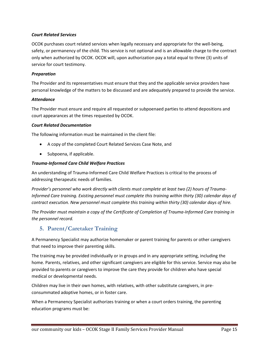# *Court Related Services*

OCOK purchases court related services when legally necessary and appropriate for the well-being, safety, or permanency of the child. This service is not optional and is an allowable charge to the contract only when authorized by OCOK. OCOK will, upon authorization pay a total equal to three (3) units of service for court testimony.

# *Preparation*

The Provider and its representatives must ensure that they and the applicable service providers have personal knowledge of the matters to be discussed and are adequately prepared to provide the service.

## *Attendance*

The Provider must ensure and require all requested or subpoenaed parties to attend depositions and court appearances at the times requested by OCOK.

# *Court Related Documentation*

The following information must be maintained in the client file:

- A copy of the completed Court Related Services Case Note, and
- Subpoena, if applicable.

# *Trauma-Informed Care Child Welfare Practices*

An understanding of Trauma-Informed Care Child Welfare Practices is critical to the process of addressing therapeutic needs of families.

*Provider's personnel who work directly with clients must complete at least two (2) hours of Trauma-Informed Care training. Existing personnel must complete this training within thirty (30) calendar days of contract execution. New personnel must complete this training within thirty (30) calendar days of hire.*

*The Provider must maintain a copy of the Certificate of Completion of Trauma-Informed Care training in the personnel record.*

# **5. Parent/Caretaker Training**

A Permanency Specialist may authorize homemaker or parent training for parents or other caregivers that need to improve their parenting skills.

The training may be provided individually or in groups and in any appropriate setting, including the home. Parents, relatives, and other significant caregivers are eligible for this service. Service may also be provided to parents or caregivers to improve the care they provide for children who have special medical or developmental needs.

Children may live in their own homes, with relatives, with other substitute caregivers, in preconsummated adoptive homes, or in foster care.

When a Permanency Specialist authorizes training or when a court orders training, the parenting education programs must be: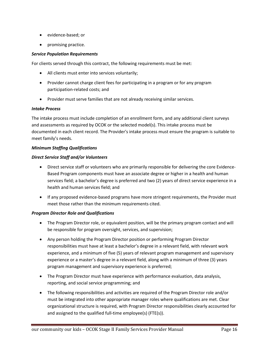- evidence-based; or
- promising practice.

## *Service Population Requirements*

For clients served through this contract, the following requirements must be met:

- All clients must enter into services voluntarily;
- Provider cannot charge client fees for participating in a program or for any program participation-related costs; and
- Provider must serve families that are not already receiving similar services.

## *Intake Process*

The intake process must include completion of an enrollment form, and any additional client surveys and assessments as required by OCOK or the selected model(s). This intake process must be documented in each client record. The Provider's intake process must ensure the program is suitable to meet family's needs.

# *Minimum Staffing Qualifications*

# *Direct Service Staff and/or Volunteers*

- Direct service staff or volunteers who are primarily responsible for delivering the core Evidence-Based Program components must have an associate degree or higher in a health and human services field; a bachelor's degree is preferred and two (2) years of direct service experience in a health and human services field; and
- If any proposed evidence-based programs have more stringent requirements, the Provider must meet those rather than the minimum requirements cited.

## *Program Director Role and Qualifications*

- The Program Director role, or equivalent position, will be the primary program contact and will be responsible for program oversight, services, and supervision;
- Any person holding the Program Director position or performing Program Director responsibilities must have at least a bachelor's degree in a relevant field, with relevant work experience, and a minimum of five (5) years of relevant program management and supervisory experience or a master's degree in a relevant field, along with a minimum of three (3) years program management and supervisory experience is preferred;
- The Program Director must have experience with performance evaluation, data analysis, reporting, and social service programming; and
- The following responsibilities and activities are required of the Program Director role and/or must be integrated into other appropriate manager roles where qualifications are met. Clear organizational structure is required, with Program Director responsibilities clearly accounted for and assigned to the qualified full-time employee(s) (FTE(s)).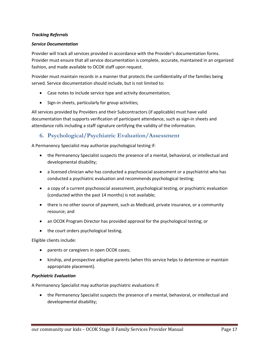# *Tracking Referrals*

# *Service Documentation*

Provider will track all services provided in accordance with the Provider's documentation forms. Provider must ensure that all service documentation is complete, accurate, maintained in an organized fashion, and made available to OCOK staff upon request.

Provider must maintain records in a manner that protects the confidentiality of the families being served. Service documentation should include, but is not limited to:

- Case notes to include service type and activity documentation;
- Sign-in sheets, particularly for group activities;

All services provided by Providers and their Subcontractors (if applicable) must have valid documentation that supports verification of participant attendance, such as sign-in sheets and attendance rolls including a staff signature certifying the validity of the information.

# **6. Psychological/Psychiatric Evaluation/Assessment**

A Permanency Specialist may authorize psychological testing if:

- the Permanency Specialist suspects the presence of a mental, behavioral, or intellectual and developmental disability;
- a licensed clinician who has conducted a psychosocial assessment or a psychiatrist who has conducted a psychiatric evaluation and recommends psychological testing;
- a copy of a current psychosocial assessment, psychological testing, or psychiatric evaluation (conducted within the past 14 months) is not available;
- there is no other source of payment, such as Medicaid, private insurance, or a community resource; and
- an OCOK Program Director has provided approval for the psychological testing; or
- the court orders psychological testing.

Eligible clients include:

- parents or caregivers in open OCOK cases;
- kinship, and prospective adoptive parents (when this service helps to determine or maintain appropriate placement).

# *Psychiatric Evaluation*

A Permanency Specialist may authorize psychiatric evaluations if:

• the Permanency Specialist suspects the presence of a mental, behavioral, or intellectual and developmental disability;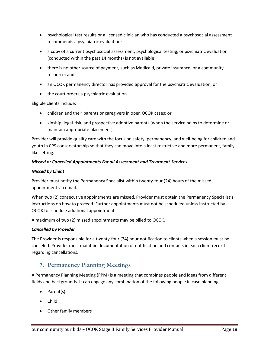- psychological test results or a licensed clinician who has conducted a psychosocial assessment recommends a psychiatric evaluation;
- a copy of a current psychosocial assessment, psychological testing, or psychiatric evaluation (conducted within the past 14 months) is not available;
- there is no other source of payment, such as Medicaid, private insurance, or a community resource; and
- an OCOK permanency director has provided approval for the psychiatric evaluation; or
- the court orders a psychiatric evaluation.

Eligible clients include:

- children and their parents or caregivers in open OCOK cases; or
- kinship, legal-risk, and prospective adoptive parents (when the service helps to determine or maintain appropriate placement).

Provider will provide quality care with the focus on safety, permanency, and well-being for children and youth in CPS conservatorship so that they can move into a least restrictive and more permanent, familylike setting.

# *Missed or Cancelled Appointments For all Assessment and Treatment Services*

# *Missed by Client*

Provider must notify the Permanency Specialist within twenty-four (24) hours of the missed appointment via email.

When two (2) consecutive appointments are missed, Provider must obtain the Permanency Specialist's instructions on how to proceed. Further appointments must not be scheduled unless instructed by OCOK to schedule additional appointments.

A maximum of two (2) missed appointments may be billed to OCOK.

# *Cancelled by Provider*

The Provider is responsible for a twenty-four (24) hour notification to clients when a session must be canceled. Provider must maintain documentation of notification and contacts in each client record regarding cancellations.

# **7. Permanency Planning Meetings**

A Permanency Planning Meeting (PPM) is a meeting that combines people and ideas from different fields and backgrounds. It can engage any combination of the following people in case planning:

- Parent(s)
- Child
- Other family members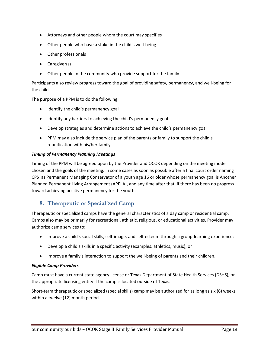- Attorneys and other people whom the court may specifies
- Other people who have a stake in the child's well-being
- Other professionals
- Caregiver(s)
- Other people in the community who provide support for the family

Participants also review progress toward the goal of providing safety, permanency, and well-being for the child.

The purpose of a PPM is to do the following:

- Identify the child's permanency goal
- Identify any barriers to achieving the child's permanency goal
- Develop strategies and determine actions to achieve the child's permanency goal
- PPM may also include the service plan of the parents or family to support the child's reunification with his/her family

# *Timing of Permanency Planning Meetings*

Timing of the PPM will be agreed upon by the Provider and OCOK depending on the meeting model chosen and the goals of the meeting. In some cases as soon as possible after a final court order naming CPS as Permanent Managing Conservator of a youth age 16 or older whose permanency goal is Another Planned Permanent Living Arrangement (APPLA), and any time after that, if there has been no progress toward achieving positive permanency for the youth.

# **8. Therapeutic or Specialized Camp**

Therapeutic or specialized camps have the general characteristics of a day camp or residential camp. Camps also may be primarily for recreational, athletic, religious, or educational activities. Provider may authorize camp services to:

- Improve a child's social skills, self-image, and self-esteem through a group-learning experience;
- Develop a child's skills in a specific activity (examples: athletics, music); or
- Improve a family's interaction to support the well-being of parents and their children.

# *Eligible Camp Providers*

Camp must have a current state agency license or Texas Department of State Health Services (DSHS), or the appropriate licensing entity if the camp is located outside of Texas.

Short-term therapeutic or specialized (special skills) camp may be authorized for as long as six (6) weeks within a twelve (12) month period.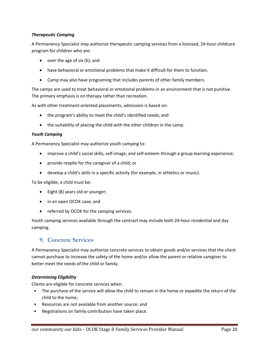# *Therapeutic Camping*

A Permanency Specialist may authorize therapeutic camping services from a licensed, 24-hour childcare program for children who are:

- over the age of six (6); and
- have behavioral or emotional problems that make it difficult for them to function.
- Camp may also have programing that includes parents of other family members.

The camps are used to treat behavioral or emotional problems in an environment that is not punitive. The primary emphasis is on therapy rather than recreation.

As with other treatment-oriented placements, admission is based on:

- the program's ability to meet the child's identified needs; and
- the suitability of placing the child with the other children in the camp.

#### *Youth Camping*

A Permanency Specialist may authorize youth camping to:

- improve a child's social skills, self-image, and self-esteem through a group-learning experience;
- provide respite for the caregiver of a child; or
- develop a child's skills in a specific activity (for example, in athletics or music).

To be eligible, a child must be:

- Eight (8) years old or younger;
- in an open OCOK case; and
- referred by OCOK for the camping services.

Youth camping services available through the contract may include both 24-hour residential and day camping.

# **9. Concrete Services**

A Permanency Specialist may authorize concrete services to obtain goods and/or services that the client cannot purchase to increase the safety of the home and/or allow the parent or relative caregiver to better meet the needs of the child or family.

## *Determining Eligibility*

Clients are eligible for concrete services when:

- The purchase of the service will allow the child to remain in the home or expedite the return of the child to the home;
- Resources are not available from another source; and
- Negotiations on family contribution have taken place.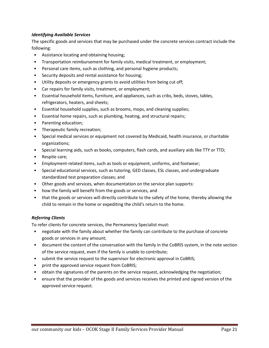# *Identifying Available Services*

The specific goods and services that may be purchased under the concrete services contract include the following:

- Assistance locating and obtaining housing;
- Transportation reimbursement for family visits, medical treatment, or employment;
- Personal care items, such as clothing, and personal hygiene products;
- Security deposits and rental assistance for housing;
- Utility deposits or emergency grants to avoid utilities from being cut off;
- Car repairs for family visits, treatment, or employment;
- Essential household items, furniture, and appliances, such as cribs, beds, stoves, tables, refrigerators, heaters, and sheets;
- Essential household supplies, such as brooms, mops, and cleaning supplies;
- Essential home repairs, such as plumbing, heating, and structural repairs;
- Parenting education;
- Therapeutic family recreation;
- Special medical services or equipment not covered by Medicaid, health insurance, or charitable organizations;
- Special learning aids, such as books, computers, flash cards, and auxiliary aids like TTY or TTD;
- Respite care;
- Employment-related items, such as tools or equipment, uniforms, and footwear;
- Special educational services, such as tutoring, GED classes, ESL classes, and undergraduate standardized test preparation classes; and
- Other goods and services, when documentation on the service plan supports:
- how the family will benefit from the goods or services, and
- that the goods or services will directly contribute to the safety of the home, thereby allowing the child to remain in the home or expediting the child's return to the home.

## *Referring Clients*

To refer clients for concrete services, the Permanency Specialist must:

- negotiate with the family about whether the family can contribute to the purchase of concrete goods or services in any amount;
- document the content of the conversation with the family in the CoBRIS system, in the note section of the service request, even if the family is unable to contribute;
- submit the service request to the supervisor for electronic approval in CoBRIS;
- print the approved service request from CoBRIS;
- obtain the signatures of the parents on the service request, acknowledging the negotiation;
- ensure that the provider of the goods and services receives the printed and signed version of the approved service request.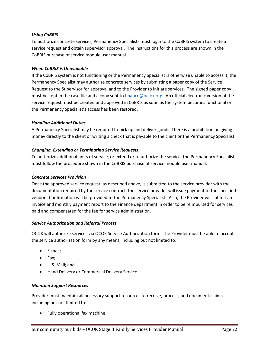# *Using CoBRIS*

To authorize concrete services, Permanency Specialists must login to the CoBRIS system to create a service request and obtain supervisor approval. The instructions for this process are shown in the CoBRIS purchase of service module user manual.

## *When CoBRIS is Unavailable*

If the CoBRIS system is not functioning or the Permanency Specialist is otherwise unable to access it, the Permanency Specialist may authorize concrete services by submitting a paper copy of the Service Request to the Supervisor for approval and to the Provider to initiate services. The signed paper copy must be kept in the case file and a copy sent to [finance@oc-ok.org.](mailto:finance@oc-ok.org) An official electronic version of the service request must be created and approved in CoBRIS as soon as the system becomes functional or the Permanency Specialist's access has been restored.

## *Handling Additional Duties*

A Permanency Specialist may be required to pick up and deliver goods. There is a prohibition on giving money directly to the client or writing a check that is payable to the client or the Permanency Specialist.

# *Changing, Extending or Terminating Service Requests*

To authorize additional units of service, or extend or reauthorize the service, the Permanency Specialist must follow the procedure shown in the CoBRIS purchase of service module user manual.

## *Concrete Services Provision*

Once the approved service request, as described above, is submitted to the service provider with the documentation required by the service contract, the service provider will issue payment to the specified vendor. Confirmation will be provided to the Permanency Specialist. Also, the Provider will submit an invoice and monthly payment report to the Finance department in order to be reimbursed for services paid and compensated for the fee for service administration.

## *Service Authorization and Referral Process*

OCOK will authorize services via OCOK Service Authorization form. The Provider must be able to accept the service authorization form by any means, including but not limited to:

- E-mail;
- Fax;
- U.S. Mail; and
- Hand Delivery or Commercial Delivery Service.

## *Maintain Support Resources*

Provider must maintain all necessary support resources to receive, process, and document claims, including but not limited to:

• Fully operational fax machine;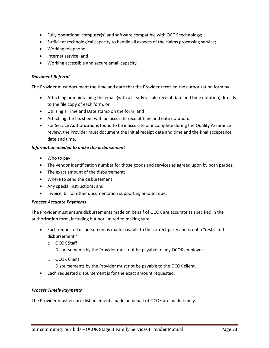- Fully operational computer(s) and software compatible with OCOK technology;
- Sufficient technological capacity to handle all aspects of the claims processing service;
- Working telephone;
- Internet service; and
- Working accessible and secure email capacity.

# *Document Referral*

The Provider must document the time and date that the Provider received the authorization form by:

- Attaching or maintaining the email (with a clearly visible receipt date and time notation) directly to the file copy of each form, or
- Utilizing a Time and Date stamp on the form; and
- Attaching the fax sheet with an accurate receipt time and date notation.
- For Service Authorizations found to be inaccurate or incomplete during the Quality Assurance review, the Provider must document the initial receipt date and time and the final acceptance date and time.

## *Information needed to make the disbursement*

- Who to pay;
- The vendor identification number for those goods and services as agreed upon by both parties;
- The exact amount of the disbursement;
- Where to send the disbursement;
- Any special instructions; and
- Invoice, bill or other documentation supporting amount due.

## *Process Accurate Payments*

The Provider must ensure disbursements made on behalf of OCOK are accurate as specified in the authorization form, including but not limited to making sure:

- Each requested disbursement is made payable to the correct party and is not a "restricted disbursement:"
	- o OCOK Staff
		- Disbursements by the Provider must not be payable to any OCOK employee.
	- o OCOK Client

Disbursements by the Provider must not be payable to the OCOK client.

• Each requested disbursement is for the exact amount requested.

## *Process Timely Payments*

The Provider must ensure disbursements made on behalf of OCOK are made timely.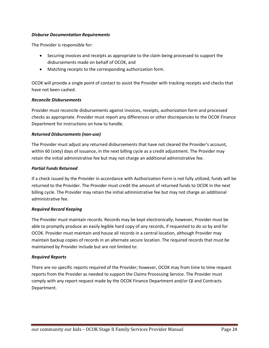# *Disburse Documentation Requirements*

The Provider is responsible for:

- Securing invoices and receipts as appropriate to the claim being processed to support the disbursements made on behalf of OCOK, and
- Matching receipts to the corresponding authorization form.

OCOK will provide a single point of contact to assist the Provider with tracking receipts and checks that have not been cashed.

# *Reconcile Disbursements*

Provider must reconcile disbursements against invoices, receipts, authorization form and processed checks as appropriate. Provider must report any differences or other discrepancies to the OCOK Finance Department for instructions on how to handle.

# *Returned Disbursements (non-use)*

The Provider must adjust any returned disbursements that have not cleared the Provider's account, within 60 (sixty) days of issuance, in the next billing cycle as a credit adjustment. The Provider may retain the initial administrative fee but may not charge an additional administrative fee.

# *Partial Funds Returned*

If a check issued by the Provider in accordance with Authorization Form is not fully utilized, funds will be returned to the Provider. The Provider must credit the amount of returned funds to OCOK in the next billing cycle. The Provider may retain the initial administrative fee but may not charge an additional administrative fee.

# *Required Record Keeping*

The Provider must maintain records. Records may be kept electronically; however, Provider must be able to promptly produce an easily legible hard copy of any records, if requested to do so by and for OCOK. Provider must maintain and house all records in a central location, although Provider may maintain backup copies of records in an alternate secure location. The required records that must be maintained by Provider include but are not limited to:

## *Required Reports*

There are no specific reports required of the Provider; however, OCOK may from time to time request reports from the Provider as needed to support the Claims Processing Service. The Provider must comply with any report request made by the OCOK Finance Department and/or QI and Contracts Department.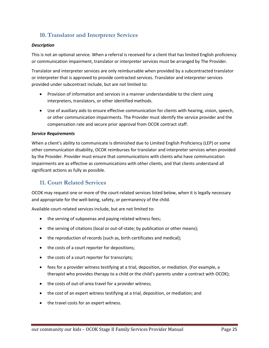# **10.Translator and Interpreter Services**

# *Description*

This is not an optional service. When a referral is received for a client that has limited English proficiency or communication impairment, translator or interpreter services must be arranged by The Provider.

Translator and interpreter services are only reimbursable when provided by a subcontracted translator or interpreter that is approved to provide contracted services. Translator and interpreter services provided under subcontract include, but are not limited to:

- Provision of information and services in a manner understandable to the client using interpreters, translators, or other identified methods.
- Use of auxiliary aids to ensure effective communication for clients with hearing, vision, speech, or other communication impairments. The Provider must identify the service provider and the compensation rate and secure prior approval from OCOK contract staff.

## *Service Requirements*

When a client's ability to communicate is diminished due to Limited English Proficiency (LEP) or some other communication disability, OCOK reimburses for translator and interpreter services when provided by the Provider. Provider must ensure that communications with clients who have communication impairments are as effective as communications with other clients, and that clients understand all significant actions as fully as possible.

# **11. Court Related Services**

OCOK may request one or more of the court-related services listed below, when it is legally necessary and appropriate for the well-being, safety, or permanency of the child.

Available court-related services include, but are not limited to:

- the serving of subpoenas and paying related witness fees;
- the serving of citations (local or out-of-state; by publication or other means);
- the reproduction of records (such as, birth certificates and medical);
- the costs of a court reporter for depositions;
- the costs of a court reporter for transcripts;
- fees for a provider witness testifying at a trial, deposition, or mediation. (For example, a therapist who provides therapy to a child or the child's parents under a contract with OCOK);
- the costs of out-of-area travel for a provider witness;
- the cost of an expert witness testifying at a trial, deposition, or mediation; and
- the travel costs for an expert witness.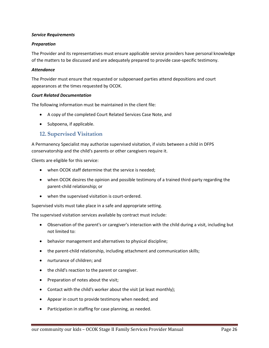# *Service Requirements*

# *Preparation*

The Provider and its representatives must ensure applicable service providers have personal knowledge of the matters to be discussed and are adequately prepared to provide case-specific testimony.

# *Attendance*

The Provider must ensure that requested or subpoenaed parties attend depositions and court appearances at the times requested by OCOK.

## *Court Related Documentation*

The following information must be maintained in the client file:

- A copy of the completed Court Related Services Case Note, and
- Subpoena, if applicable.

# **12. Supervised Visitation**

A Permanency Specialist may authorize supervised visitation, if visits between a child in DFPS conservatorship and the child's parents or other caregivers require it.

Clients are eligible for this service:

- when OCOK staff determine that the service is needed;
- when OCOK desires the opinion and possible testimony of a trained third-party regarding the parent-child relationship; or
- when the supervised visitation is court-ordered.

Supervised visits must take place in a safe and appropriate setting.

The supervised visitation services available by contract must include:

- Observation of the parent's or caregiver's interaction with the child during a visit, including but not limited to:
- behavior management and alternatives to physical discipline;
- the parent-child relationship, including attachment and communication skills;
- nurturance of children; and
- the child's reaction to the parent or caregiver.
- Preparation of notes about the visit;
- Contact with the child's worker about the visit (at least monthly);
- Appear in court to provide testimony when needed; and
- Participation in staffing for case planning, as needed.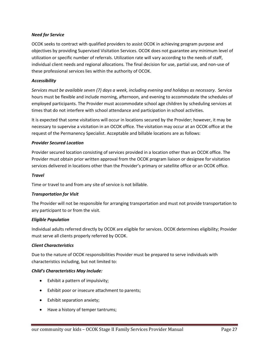# *Need for Service*

OCOK seeks to contract with qualified providers to assist OCOK in achieving program purpose and objectives by providing Supervised Visitation Services. OCOK does not guarantee any minimum level of utilization or specific number of referrals. Utilization rate will vary according to the needs of staff, individual client needs and regional allocations. The final decision for use, partial use, and non-use of these professional services lies within the authority of OCOK.

# *Accessibility*

*Services must be available seven (7) days a week, including evening and holidays as necessary*. Service hours must be flexible and include morning, afternoon, and evening to accommodate the schedules of employed participants. The Provider must accommodate school age children by scheduling services at times that do not interfere with school attendance and participation in school activities.

It is expected that some visitations will occur in locations secured by the Provider; however, it may be necessary to supervise a visitation in an OCOK office. The visitation may occur at an OCOK office at the request of the Permanency Specialist. Acceptable and billable locations are as follows:

# *Provider Secured Location*

Provider secured location consisting of services provided in a location other than an OCOK office. The Provider must obtain prior written approval from the OCOK program liaison or designee for visitation services delivered in locations other than the Provider's primary or satellite office or an OCOK office.

## *Travel*

Time or travel to and from any site of service is not billable.

## *Transportation for Visit*

The Provider will not be responsible for arranging transportation and must not provide transportation to any participant to or from the visit.

## *Eligible Population*

Individual adults referred directly by OCOK are eligible for services. OCOK determines eligibility; Provider must serve all clients properly referred by OCOK.

## *Client Characteristics*

Due to the nature of OCOK responsibilities Provider must be prepared to serve individuals with characteristics including, but not limited to:

## *Child's Characteristics May Include:*

- Exhibit a pattern of impulsivity;
- Exhibit poor or insecure attachment to parents;
- Exhibit separation anxiety;
- Have a history of temper tantrums;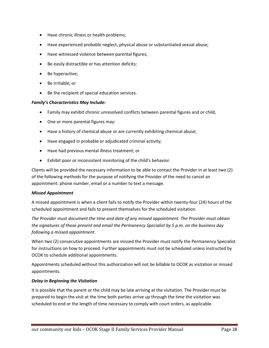- Have chronic illness or health problems;
- Have experienced probable neglect, physical abuse or substantiated sexual abuse;
- Have witnessed violence between parental figures;
- Be easily distractible or has attention deficits;
- Be hyperactive;
- Be irritable; or
- Be the recipient of special education services.

#### *Family's Characteristics May Include:*

- Family may exhibit chronic unresolved conflicts between parental figures and or child,
- One or more parental figures may:
- Have a history of chemical abuse or are currently exhibiting chemical abuse;
- Have engaged in probable or adjudicated criminal activity;
- Have had previous mental illness treatment; or
- Exhibit poor or inconsistent monitoring of the child's behavior.

Clients will be provided the necessary information to be able to contact the Provider in at least two (2) of the following methods for the purpose of notifying the Provider of the need to cancel an appointment: phone number, email or a number to text a message.

#### *Missed Appointment*

A missed appointment is when a client fails to notify the Provider within twenty-four (24) hours of the scheduled appointment and fails to present themselves for the scheduled visitation.

*The Provider must document the time and date of any missed appointment. The Provider must obtain the signatures of those present and email the Permanency Specialist by 5 p.m. on the business day following a missed appointment*.

When two (2) consecutive appointments are missed the Provider must notify the Permanency Specialist for instructions on how to proceed. Further appointments must not be scheduled unless instructed by OCOK to schedule additional appointments.

Appointments scheduled without this authorization will not be billable to OCOK as visitation or missed appointments.

## *Delay in Beginning the Visitation*

It is possible that the parent or the child may be late arriving at the visitation. The Provider must be prepared to begin the visit at the time both parties arrive up through the time the visitation was scheduled to end or the length of time necessary to comply with court orders, as applicable.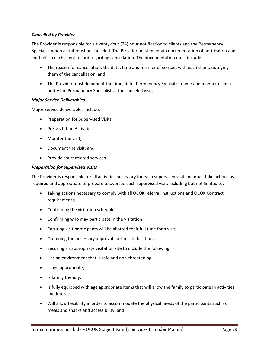# *Cancelled by Provider*

The Provider is responsible for a twenty-four (24) hour notification to clients and the Permanency Specialist when a visit must be canceled. The Provider must maintain documentation of notification and contacts in each client record regarding cancellation. The documentation must include:

- The reason for cancellation; the date, time and manner of contact with each client, notifying them of the cancellation; and
- The Provider must document the time, date, Permanency Specialist name and manner used to notify the Permanency Specialist of the canceled visit.

## *Major Service Deliverables*

Major Service deliverables include:

- Preparation for Supervised Visits;
- Pre-visitation Activities;
- Monitor the visit;
- Document the visit; and
- Provide court related services.

#### *Preparation for Supervised Visits*

The Provider is responsible for all activities necessary for each supervised visit and must take actions as required and appropriate to prepare to oversee each supervised visit, including but not limited to:

- Taking actions necessary to comply with all OCOK referral instructions and OCOK Contract requirements;
- Confirming the visitation schedule;
- Confirming who may participate in the visitation;
- Ensuring visit participants will be allotted their full time for a visit;
- Obtaining the necessary approval for the site location;
- Securing an appropriate visitation site to include the following;
- Has an environment that is safe and non-threatening;
- Is age appropriate;
- Is family friendly;
- Is fully equipped with age appropriate items that will allow the family to participate in activities and interact;
- Will allow flexibility in order to accommodate the physical needs of the participants such as meals and snacks and accessibility; and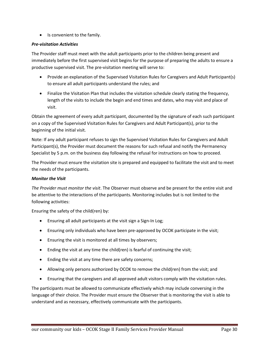• Is convenient to the family.

# *Pre-visitation Activities*

The Provider staff must meet with the adult participants prior to the children being present and immediately before the first supervised visit begins for the purpose of preparing the adults to ensure a productive supervised visit. The pre-visitation meeting will serve to:

- Provide an explanation of the Supervised Visitation Rules for Caregivers and Adult Participant(s) to ensure all adult participants understand the rules; and
- Finalize the Visitation Plan that includes the visitation schedule clearly stating the frequency, length of the visits to include the begin and end times and dates, who may visit and place of visit.

Obtain the agreement of every adult participant, documented by the signature of each such participant on a copy of the Supervised Visitation Rules for Caregivers and Adult Participant(s), prior to the beginning of the initial visit.

Note: If any adult participant refuses to sign the Supervised Visitation Rules for Caregivers and Adult Participant(s), the Provider must document the reasons for such refusal and notify the Permanency Specialist by 5 p.m. on the business day following the refusal for instructions on how to proceed.

The Provider must ensure the visitation site is prepared and equipped to facilitate the visit and to meet the needs of the participants.

# *Monitor the Visit*

*The Provider must monitor the visit*. The Observer must observe and be present for the entire visit and be attentive to the interactions of the participants. Monitoring includes but is not limited to the following activities:

Ensuring the safety of the child(ren) by:

- Ensuring all adult participants at the visit sign a Sign-In Log;
- Ensuring only individuals who have been pre-approved by OCOK participate in the visit;
- Ensuring the visit is monitored at all times by observers;
- Ending the visit at any time the child(ren) is fearful of continuing the visit;
- Ending the visit at any time there are safety concerns;
- Allowing only persons authorized by OCOK to remove the child(ren) from the visit; and
- Ensuring that the caregivers and all approved adult visitors comply with the visitation rules.

The participants must be allowed to communicate effectively which may include conversing in the language of their choice. The Provider must ensure the Observer that is monitoring the visit is able to understand and as necessary, effectively communicate with the participants.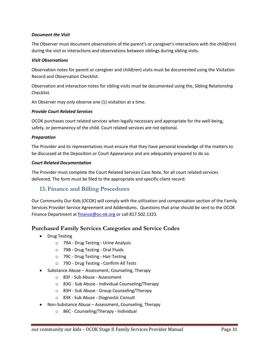# *Document the Visit*

The Observer must document observations of the parent's or caregiver's interactions with the child(ren) during the visit or interactions and observations between siblings during sibling visits.

# *Visit Observations*

Observation notes for parent or caregiver and child(ren) visits must be documented using the Visitation Record and Observation Checklist.

Observation and interaction notes for sibling visits must be documented using the, Sibling Relationship Checklist.

An Observer may only observe one (1) visitation at a time.

# *Provide Court Related Services*

OCOK purchases court related services when legally necessary and appropriate for the well-being, safety, or permanency of the child. Court related services are not optional.

# *Preparation*

The Provider and its representatives must ensure that they have personal knowledge of the matters to be discussed at the Deposition or Court Appearance and are adequately prepared to do so.

# *Court Related Documentation*

The Provider must complete the Court Related Services Case Note, for all court related services delivered. The form must be filed to the appropriate and specific client record.

# **13. Finance and Billing Procedures**

Our Community Our Kids (OCOK) will comply with the utilization and compensation section of the Family Services Provider Service Agreement and Addendums. Questions that arise should be sent to the OCOK Finance Department a[t finance@oc-ok.org](mailto:finance@oc-ok.org) or call 817.502.1323.

# **Purchased Family Services Categories and Service Codes**

- Drug Testing
	- o 79A Drug Testing Urine Analysis
	- o 79B Drug Testing Oral Fluids
	- o 79C Drug Testing Hair Testing
	- o 79D Drug Testing Confirm All Tests
- Substance Abuse Assessment, Counseling, Therapy
	- o 83F Sub Abuse Assessment
	- o 83G Sub Abuse Individual Counseling/Therapy
	- o 83H Sub Abuse Group Counseling/Therapy
	- o 83K Sub Abuse Diagnostic Consult
- Non-Substance Abuse Assessment, Counseling, Therapy
	- o 86C Counseling/Therapy Individual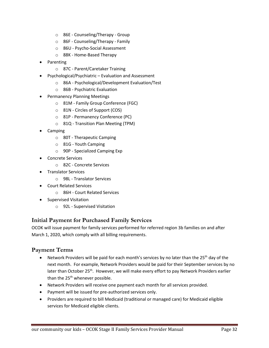- o 86E Counseling/Therapy Group
- o 86F Counseling/Therapy Family
- o 86U Psycho-Social Assessment
- o 88K Home-Based Therapy
- **Parenting** 
	- o 87C Parent/Caretaker Training
- Psychological/Psychiatric Evaluation and Assessment
	- o 86A Psychological/Development Evaluation/Test
	- o 86B Psychiatric Evaluation
- Permanency Planning Meetings
	- o 81M Family Group Conference (FGC)
	- o 81N Circles of Support (COS)
	- o 81P Permanency Conference (PC)
	- o 81Q Transition Plan Meeting (TPM)
- Camping
	- o 80T Therapeutic Camping
	- o 81G Youth Camping
	- o 90P Specialized Camping Exp
	- Concrete Services
		- o 82C Concrete Services
- Translator Services
	- o 98L Translator Services
- Court Related Services
	- o 86H Court Related Services
- Supervised Visitation
	- o 92L Supervised Visitation

# **Initial Payment for Purchased Family Services**

OCOK will issue payment for family services performed for referred region 3b families on and after March 1, 2020, which comply with all billing requirements.

# **Payment Terms**

- Network Providers will be paid for each month's services by no later than the  $25<sup>th</sup>$  day of the next month. For example, Network Providers would be paid for their September services by no later than October 25<sup>th</sup>. However, we will make every effort to pay Network Providers earlier than the 25<sup>th</sup> whenever possible.
- Network Providers will receive one payment each month for all services provided.
- Payment will be issued for pre-authorized services only.
- Providers are required to bill Medicaid (traditional or managed care) for Medicaid eligible services for Medicaid eligible clients.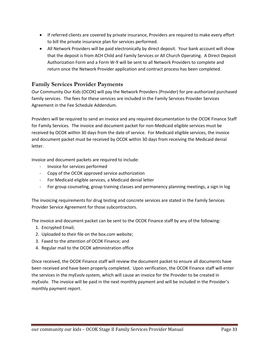- If referred clients are covered by private insurance, Providers are required to make every effort to bill the private insurance plan for services performed.
- All Network Providers will be paid electronically by direct deposit. Your bank account will show that the deposit is from ACH Child and Family Services or All Church Operating. A Direct Deposit Authorization Form and a Form W-9 will be sent to all Network Providers to complete and return once the Network Provider application and contract process has been completed.

# **Family Services Provider Payments**

Our Community Our Kids (OCOK) will pay the Network Providers (Provider) for pre-authorized purchased family services. The fees for these services are included in the Family Services Provider Services Agreement in the Fee Schedule Addendum.

Providers will be required to send an invoice and any required documentation to the OCOK Finance Staff for Family Services. The invoice and document packet for non-Medicaid eligible services must be received by OCOK within 30 days from the date of service. For Medicaid eligible services, the invoice and document packet must be received by OCOK within 30 days from receiving the Medicaid denial letter.

Invoice and document packets are required to include:

- Invoice for services performed
- Copy of the OCOK approved service authorization
- For Medicaid eligible services, a Medicaid denial letter
- For group counseling, group training classes and permanency planning meetings, a sign in log

The invoicing requirements for drug testing and concrete services are stated in the Family Services Provider Service Agreement for those subcontractors.

The invoice and document packet can be sent to the OCOK Finance staff by any of the following:

- 1. Encrypted Email;
- 2. Uploaded to their file on the box.com website;
- 3. Faxed to the attention of OCOK Finance; and
- 4. Regular mail to the OCOK administration office

Once received, the OCOK Finance staff will review the document packet to ensure all documents have been received and have been properly completed. Upon verification, the OCOK Finance staff will enter the services in the myEvolv system, which will cause an invoice for the Provider to be created in myEvolv. The invoice will be paid in the next monthly payment and will be included in the Provider's monthly payment report.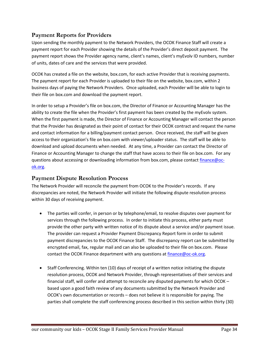# **Payment Reports for Providers**

Upon sending the monthly payment to the Network Providers, the OCOK Finance Staff will create a payment report for each Provider showing the details of the Provider's direct deposit payment. The payment report shows the Provider agency name, client's names, client's myEvolv ID numbers, number of units, dates of care and the services that were provided.

OCOK has created a file on the website, box.com, for each active Provider that is receiving payments. The payment report for each Provider is uploaded to their file on the website, box.com, within 2 business days of paying the Network Providers. Once uploaded, each Provider will be able to login to their file on box.com and download the payment report.

In order to setup a Provider's file on box.com, the Director of Finance or Accounting Manager has the ability to create the file when the Provider's first payment has been created by the myEvolv system. When the first payment is made, the Director of Finance or Accounting Manager will contact the person that the Provider has designated as their point of contact for their OCOK contract and request the name and contact information for a billing/payment contact person. Once received, the staff will be given access to their organization's file on box.com with viewer/uploader status. The staff will be able to download and upload documents when needed. At any time, a Provider can contact the Director of Finance or Accounting Manager to change the staff that have access to their file on box.com. For any questions about accessing or downloading information from box.com, please contact [finance@oc](mailto:finance@oc-ok.org)[ok.org.](mailto:finance@oc-ok.org)

# **Payment Dispute Resolution Process**

The Network Provider will reconcile the payment from OCOK to the Provider's records. If any discrepancies are noted, the Network Provider will initiate the following dispute resolution process within 30 days of receiving payment.

- The parties will confer, in person or by telephone/email, to resolve disputes over payment for services through the following process. In order to initiate this process, either party must provide the other party with written notice of its dispute about a service and/or payment issue. The provider can request a Provider Payment Discrepancy Report form in order to submit payment discrepancies to the OCOK Finance Staff. The discrepancy report can be submitted by encrypted email, fax, regular mail and can also be uploaded to their file on box.com. Please contact the OCOK Finance department with any questions at [finance@oc-ok.org.](mailto:finance@oc-ok.org)
- Staff Conferencing. Within ten (10) days of receipt of a written notice initiating the dispute resolution process, OCOK and Network Provider, through representatives of their services and financial staff, will confer and attempt to reconcile any disputed payments for which OCOK – based upon a good faith review of any documents submitted by the Network Provider and OCOK's own documentation or records – does not believe it is responsible for paying. The parties shall complete the staff conferencing process described in this section within thirty (30)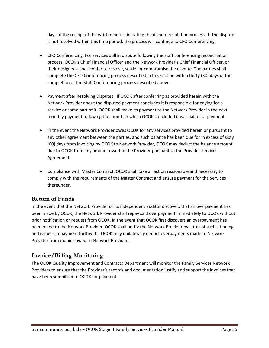days of the receipt of the written notice initiating the dispute resolution process. If the dispute is not resolved within this time period, the process will continue to CFO Conferencing.

- CFO Conferencing. For services still in dispute following the staff conferencing reconciliation process, OCOK's Chief Financial Officer and the Network Provider's Chief Financial Officer, or their designees, shall confer to resolve, settle, or compromise the dispute. The parties shall complete the CFO Conferencing process described in this section within thirty (30) days of the completion of the Staff Conferencing process described above.
- Payment after Resolving Disputes. If OCOK after conferring as provided herein with the Network Provider about the disputed payment concludes it is responsible for paying for a service or some part of it, OCOK shall make its payment to the Network Provider in the next monthly payment following the month in which OCOK concluded it was liable for payment.
- In the event the Network Provider owes OCOK for any services provided herein or pursuant to any other agreement between the parties, and such balance has been due for in excess of sixty (60) days from invoicing by OCOK to Network Provider, OCOK may deduct the balance amount due to OCOK from any amount owed to the Provider pursuant to the Provider Services Agreement.
- Compliance with Master Contract. OCOK shall take all action reasonable and necessary to comply with the requirements of the Master Contract and ensure payment for the Services thereunder.

# **Return of Funds**

In the event that the Network Provider or its independent auditor discovers that an overpayment has been made by OCOK, the Network Provider shall repay said overpayment immediately to OCOK without prior notification or request from OCOK. In the event that OCOK first discovers an overpayment has been made to the Network Provider, OCOK shall notify the Network Provider by letter of such a finding and request repayment forthwith. OCOK may unilaterally deduct overpayments made to Network Provider from monies owed to Network Provider.

# **Invoice/Billing Monitoring**

The OCOK Quality Improvement and Contracts Department will monitor the Family Services Network Providers to ensure that the Provider's records and documentation justify and support the invoices that have been submitted to OCOK for payment.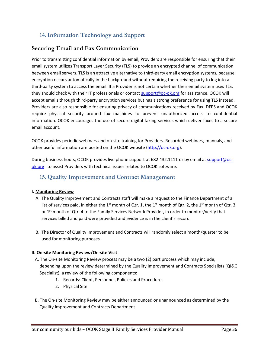# **14.Information Technology and Support**

# **Securing Email and Fax Communication**

Prior to transmitting confidential information by email, Providers are responsible for ensuring that their email system utilizes Transport Layer Security (TLS) to provide an encrypted channel of communication between email servers. TLS is an attractive alternative to third-party email encryption systems, because encryption occurs automatically in the background without requiring the receiving party to log into a third-party system to access the email. If a Provider is not certain whether their email system uses TLS, they should check with their IT professionals or contact [support@oc-ok.org](mailto:support@oc-ok.org) for assistance. OCOK will accept emails through third-party encryption services but has a strong preference for using TLS instead. Providers are also responsible for ensuring privacy of communications received by Fax. DFPS and OCOK require physical security around fax machines to prevent unauthorized access to confidential information. OCOK encourages the use of secure digital faxing services which deliver faxes to a secure email account.

OCOK provides periodic webinars and on-site training for Providers. Recorded webinars, manuals, and other useful information are posted on the OCOK website [\(http://oc-ok.org\)](http://oc-ok.org/).

During business hours, OCOK provides live phone support at 682.432.1111 or by email a[t support@oc](mailto:support@oc-ok.org)[ok.org](mailto:support@oc-ok.org) to assist Providers with technical issues related to OCOK software.

# **15.Quality Improvement and Contract Management**

# **I. Monitoring Review**

- A. The Quality Improvement and Contracts staff will make a request to the Finance Department of a list of services paid, in either the 1<sup>st</sup> month of Qtr. 1, the 1<sup>st</sup> month of Qtr. 2, the 1<sup>st</sup> month of Qtr. 3 or 1<sup>st</sup> month of Qtr. 4 to the Family Services Network Provider, in order to monitor/verify that services billed and paid were provided and evidence is in the client's record.
- B. The Director of Quality Improvement and Contracts will randomly select a month/quarter to be used for monitoring purposes.

# **II. On-site Monitoring Review/On-site Visit**

- A. The On-site Monitoring Review process may be a two (2) part process which may include, depending upon the review determined by the Quality Improvement and Contracts Specialists (QI&C Specialist), a review of the following components:
	- 1. Records: Client, Personnel, Policies and Procedures
	- 2. Physical Site
- B. The On-site Monitoring Review may be either announced or unannounced as determined by the Quality Improvement and Contracts Department.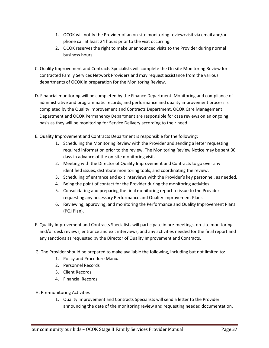- 1. OCOK will notify the Provider of an on-site monitoring review/visit via email and/or phone call at least 24 hours prior to the visit occurring.
- 2. OCOK reserves the right to make unannounced visits to the Provider during normal business hours.
- C. Quality Improvement and Contracts Specialists will complete the On-site Monitoring Review for contracted Family Services Network Providers and may request assistance from the various departments of OCOK in preparation for the Monitoring Review.
- D. Financial monitoring will be completed by the Finance Department. Monitoring and compliance of administrative and programmatic records, and performance and quality improvement process is completed by the Quality Improvement and Contracts Department. OCOK Care Management Department and OCOK Permanency Department are responsible for case reviews on an ongoing basis as they will be monitoring for Service Delivery according to their need.
- E. Quality Improvement and Contracts Department is responsible for the following:
	- 1. Scheduling the Monitoring Review with the Provider and sending a letter requesting required information prior to the review. The Monitoring Review Notice may be sent 30 days in advance of the on-site monitoring visit.
	- 2. Meeting with the Director of Quality Improvement and Contracts to go over any identified issues, distribute monitoring tools, and coordinating the review.
	- 3. Scheduling of entrance and exit interviews with the Provider's key personnel, as needed.
	- 4. Being the point of contact for the Provider during the monitoring activities.
	- 5. Consolidating and preparing the final monitoring report to issue to the Provider requesting any necessary Performance and Quality Improvement Plans.
	- 6. Reviewing, approving, and monitoring the Performance and Quality Improvement Plans (PQI Plan).
- F. Quality Improvement and Contracts Specialists will participate in pre-meetings, on-site monitoring and/or desk reviews, entrance and exit interviews, and any activities needed for the final report and any sanctions as requested by the Director of Quality Improvement and Contracts.
- G. The Provider should be prepared to make available the following, including but not limited to:
	- 1. Policy and Procedure Manual
	- 2. Personnel Records
	- 3. Client Records
	- 4. Financial Records
- H. Pre-monitoring Activities
	- 1. Quality Improvement and Contracts Specialists will send a letter to the Provider announcing the date of the monitoring review and requesting needed documentation.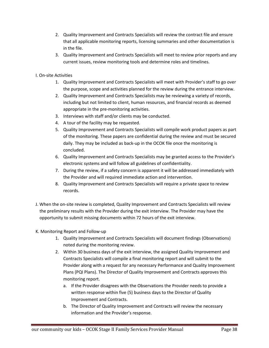- 2. Quality Improvement and Contracts Specialists will review the contract file and ensure that all applicable monitoring reports, licensing summaries and other documentation is in the file.
- 3. Quality Improvement and Contracts Specialists will meet to review prior reports and any current issues, review monitoring tools and determine roles and timelines.
- I. On-site Activities
	- 1. Quality Improvement and Contracts Specialists will meet with Provider's staff to go over the purpose, scope and activities planned for the review during the entrance interview.
	- 2. Quality Improvement and Contracts Specialists may be reviewing a variety of records, including but not limited to client, human resources, and financial records as deemed appropriate in the pre-monitoring activities.
	- 3. Interviews with staff and/or clients may be conducted.
	- 4. A tour of the facility may be requested.
	- 5. Quality Improvement and Contracts Specialists will compile work product papers as part of the monitoring. These papers are confidential during the review and must be secured daily. They may be included as back-up in the OCOK file once the monitoring is concluded.
	- 6. Quality Improvement and Contracts Specialists may be granted access to the Provider's electronic systems and will follow all guidelines of confidentiality.
	- 7. During the review, if a safety concern is apparent it will be addressed immediately with the Provider and will required immediate action and intervention.
	- 8. Quality Improvement and Contracts Specialists will require a private space to review records.
- J. When the on-site review is completed, Quality Improvement and Contracts Specialists will review the preliminary results with the Provider during the exit interview. The Provider may have the opportunity to submit missing documents within 72 hours of the exit interview.
- K. Monitoring Report and Follow-up
	- 1. Quality Improvement and Contracts Specialists will document findings (Observations) noted during the monitoring review.
	- 2. Within 30 business days of the exit interview, the assigned Quality Improvement and Contracts Specialists will compile a final monitoring report and will submit to the Provider along with a request for any necessary Performance and Quality Improvement Plans (PQI Plans). The Director of Quality Improvement and Contracts approves this monitoring report.
		- a. If the Provider disagrees with the Observations the Provider needs to provide a written response within five (5) business days to the Director of Quality Improvement and Contracts.
		- b. The Director of Quality Improvement and Contracts will review the necessary information and the Provider's response.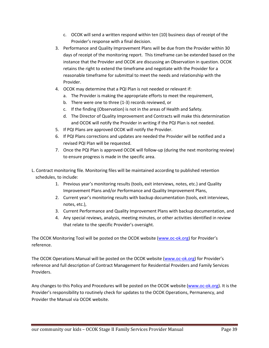- c. OCOK will send a written respond within ten (10) business days of receipt of the Provider's response with a final decision.
- 3. Performance and Quality Improvement Plans will be due from the Provider within 30 days of receipt of the monitoring report. This timeframe can be extended based on the instance that the Provider and OCOK are discussing an Observation in question. OCOK retains the right to extend the timeframe and negotiate with the Provider for a reasonable timeframe for submittal to meet the needs and relationship with the Provider.
- 4. OCOK may determine that a PQI Plan is not needed or relevant if:
	- a. The Provider is making the appropriate efforts to meet the requirement,
	- b. There were one to three (1-3) records reviewed, or
	- c. If the finding (Observation) is not in the areas of Health and Safety.
	- d. The Director of Quality Improvement and Contracts will make this determination and OCOK will notify the Provider in writing if the PQI Plan is not needed.
- 5. If PQI Plans are approved OCOK will notify the Provider.
- 6. If PQI Plans corrections and updates are needed the Provider will be notified and a revised PQI Plan will be requested.
- 7. Once the PQI Plan is approved OCOK will follow-up (during the next monitoring review) to ensure progress is made in the specific area.
- L. Contract monitoring file. Monitoring files will be maintained according to published retention schedules, to include:
	- 1. Previous year's monitoring results (tools, exit interviews, notes, etc.) and Quality Improvement Plans and/or Performance and Quality Improvement Plans,
	- 2. Current year's monitoring results with backup documentation (tools, exit interviews, notes, etc.),
	- 3. Current Performance and Quality Improvement Plans with backup documentation, and
	- 4. Any special reviews, analysis, meeting minutes, or other activities identified in review that relate to the specific Provider's oversight.

The OCOK Monitoring Tool will be posted on the OCOK website [\(www.oc-ok.org](http://www.oc-ok.org/)) for Provider's reference.

The OCOK Operations Manual will be posted on the OCOK website [\(www.oc-ok.org\)](http://www.oc-ok.org/) for Provider's reference and full description of Contract Management for Residential Providers and Family Services Providers.

Any changes to this Policy and Procedures will be posted on the OCOK website [\(www.oc-ok.org\)](http://www.oc-ok.org/). It is the Provider's responsibility to routinely check for updates to the OCOK Operations, Permanency, and Provider the Manual via OCOK website.